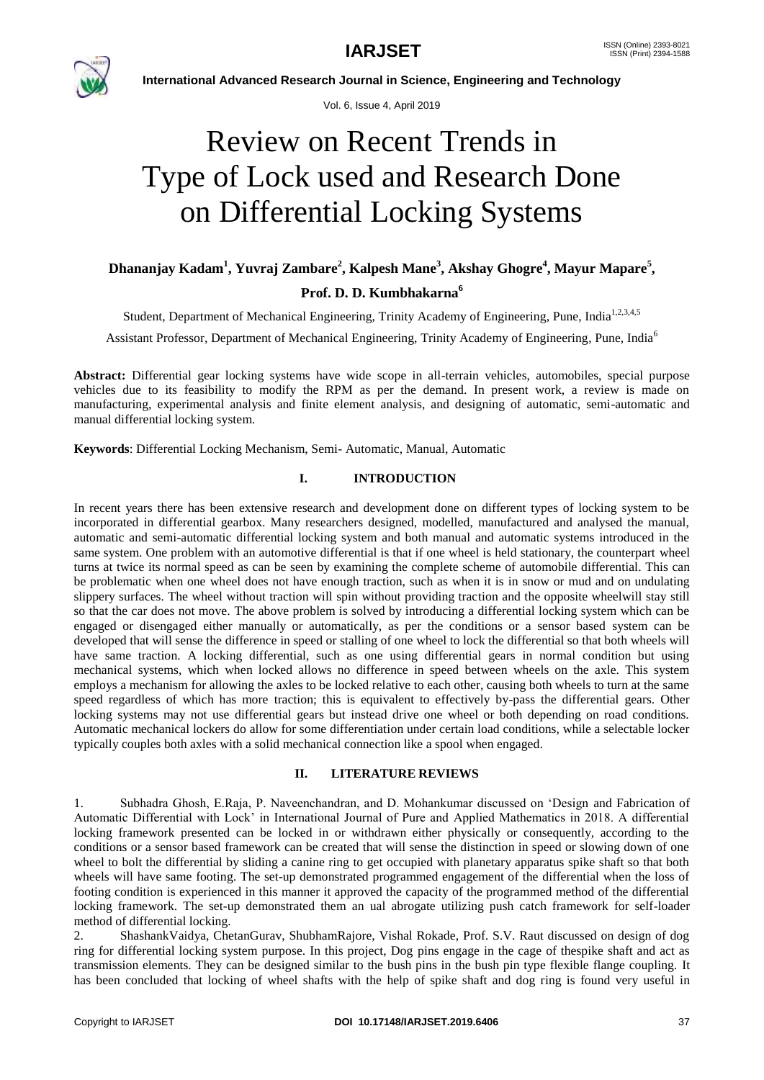

Vol. 6, Issue 4, April 2019

# Review on Recent Trends in Type of Lock used and Research Done on Differential Locking Systems

## **Dhananjay Kadam<sup>1</sup> , Yuvraj Zambare<sup>2</sup> , Kalpesh Mane<sup>3</sup> , Akshay Ghogre<sup>4</sup> , Mayur Mapare<sup>5</sup> , Prof. D. D. Kumbhakarna<sup>6</sup>**

Student, Department of Mechanical Engineering, Trinity Academy of Engineering, Pune, India<sup>1,2,3,4,5</sup>

Assistant Professor, Department of Mechanical Engineering, Trinity Academy of Engineering, Pune, India<sup>6</sup>

**Abstract:** Differential gear locking systems have wide scope in all-terrain vehicles, automobiles, special purpose vehicles due to its feasibility to modify the RPM as per the demand. In present work, a review is made on manufacturing, experimental analysis and finite element analysis, and designing of automatic, semi-automatic and manual differential locking system.

**Keywords**: Differential Locking Mechanism, Semi- Automatic, Manual, Automatic

### **I. INTRODUCTION**

In recent years there has been extensive research and development done on different types of locking system to be incorporated in differential gearbox. Many researchers designed, modelled, manufactured and analysed the manual, automatic and semi-automatic differential locking system and both manual and automatic systems introduced in the same system. One problem with an automotive differential is that if one wheel is held stationary, the counterpart wheel turns at twice its normal speed as can be seen by examining the complete scheme of automobile differential. This can be problematic when one wheel does not have enough traction, such as when it is in snow or mud and on undulating slippery surfaces. The wheel without traction will spin without providing traction and the opposite wheelwill stay still so that the car does not move. The above problem is solved by introducing a differential locking system which can be engaged or disengaged either manually or automatically, as per the conditions or a sensor based system can be developed that will sense the difference in speed or stalling of one wheel to lock the differential so that both wheels will have same traction. A locking differential, such as one using differential gears in normal condition but using mechanical systems, which when locked allows no difference in speed between wheels on the axle. This system employs a mechanism for allowing the axles to be locked relative to each other, causing both wheels to turn at the same speed regardless of which has more traction; this is equivalent to effectively by-pass the differential gears. Other locking systems may not use differential gears but instead drive one wheel or both depending on road conditions. Automatic mechanical lockers do allow for some differentiation under certain load conditions, while a selectable locker typically couples both axles with a solid mechanical connection like a spool when engaged.

### **II. LITERATURE REVIEWS**

1. Subhadra Ghosh, E.Raja, P. Naveenchandran, and D. Mohankumar discussed on "Design and Fabrication of Automatic Differential with Lock" in International Journal of Pure and Applied Mathematics in 2018. A differential locking framework presented can be locked in or withdrawn either physically or consequently, according to the conditions or a sensor based framework can be created that will sense the distinction in speed or slowing down of one wheel to bolt the differential by sliding a canine ring to get occupied with planetary apparatus spike shaft so that both wheels will have same footing. The set-up demonstrated programmed engagement of the differential when the loss of footing condition is experienced in this manner it approved the capacity of the programmed method of the differential locking framework. The set-up demonstrated them an ual abrogate utilizing push catch framework for self-loader method of differential locking.

2. ShashankVaidya, ChetanGurav, ShubhamRajore, Vishal Rokade, Prof. S.V. Raut discussed on design of dog ring for differential locking system purpose. In this project, Dog pins engage in the cage of thespike shaft and act as transmission elements. They can be designed similar to the bush pins in the bush pin type flexible flange coupling. It has been concluded that locking of wheel shafts with the help of spike shaft and dog ring is found very useful in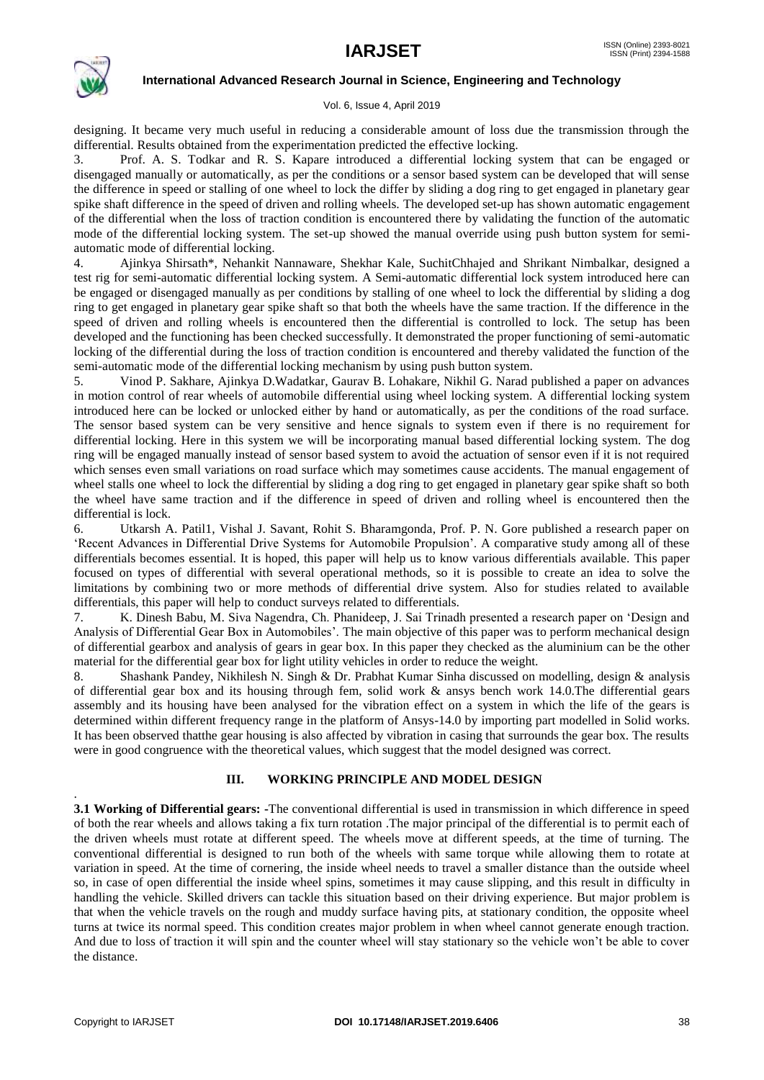

### Vol. 6, Issue 4, April 2019

designing. It became very much useful in reducing a considerable amount of loss due the transmission through the differential. Results obtained from the experimentation predicted the effective locking.

3. Prof. A. S. Todkar and R. S. Kapare introduced a differential locking system that can be engaged or disengaged manually or automatically, as per the conditions or a sensor based system can be developed that will sense the difference in speed or stalling of one wheel to lock the differ by sliding a dog ring to get engaged in planetary gear spike shaft difference in the speed of driven and rolling wheels. The developed set-up has shown automatic engagement of the differential when the loss of traction condition is encountered there by validating the function of the automatic mode of the differential locking system. The set-up showed the manual override using push button system for semiautomatic mode of differential locking.

4. Ajinkya Shirsath\*, Nehankit Nannaware, Shekhar Kale, SuchitChhajed and Shrikant Nimbalkar, designed a test rig for semi-automatic differential locking system. A Semi-automatic differential lock system introduced here can be engaged or disengaged manually as per conditions by stalling of one wheel to lock the differential by sliding a dog ring to get engaged in planetary gear spike shaft so that both the wheels have the same traction. If the difference in the speed of driven and rolling wheels is encountered then the differential is controlled to lock. The setup has been developed and the functioning has been checked successfully. It demonstrated the proper functioning of semi-automatic locking of the differential during the loss of traction condition is encountered and thereby validated the function of the semi-automatic mode of the differential locking mechanism by using push button system.

5. Vinod P. Sakhare, Ajinkya D.Wadatkar, Gaurav B. Lohakare, Nikhil G. Narad published a paper on advances in motion control of rear wheels of automobile differential using wheel locking system. A differential locking system introduced here can be locked or unlocked either by hand or automatically, as per the conditions of the road surface. The sensor based system can be very sensitive and hence signals to system even if there is no requirement for differential locking. Here in this system we will be incorporating manual based differential locking system. The dog ring will be engaged manually instead of sensor based system to avoid the actuation of sensor even if it is not required which senses even small variations on road surface which may sometimes cause accidents. The manual engagement of wheel stalls one wheel to lock the differential by sliding a dog ring to get engaged in planetary gear spike shaft so both the wheel have same traction and if the difference in speed of driven and rolling wheel is encountered then the differential is lock.

6. Utkarsh A. Patil1, Vishal J. Savant, Rohit S. Bharamgonda, Prof. P. N. Gore published a research paper on "Recent Advances in Differential Drive Systems for Automobile Propulsion". A comparative study among all of these differentials becomes essential. It is hoped, this paper will help us to know various differentials available. This paper focused on types of differential with several operational methods, so it is possible to create an idea to solve the limitations by combining two or more methods of differential drive system. Also for studies related to available differentials, this paper will help to conduct surveys related to differentials.

7. K. Dinesh Babu, M. Siva Nagendra, Ch. Phanideep, J. Sai Trinadh presented a research paper on "Design and Analysis of Differential Gear Box in Automobiles'. The main objective of this paper was to perform mechanical design of differential gearbox and analysis of gears in gear box. In this paper they checked as the aluminium can be the other material for the differential gear box for light utility vehicles in order to reduce the weight.

8. Shashank Pandey, Nikhilesh N. Singh & Dr. Prabhat Kumar Sinha discussed on modelling, design & analysis of differential gear box and its housing through fem, solid work & ansys bench work 14.0.The differential gears assembly and its housing have been analysed for the vibration effect on a system in which the life of the gears is determined within different frequency range in the platform of Ansys-14.0 by importing part modelled in Solid works. It has been observed thatthe gear housing is also affected by vibration in casing that surrounds the gear box. The results were in good congruence with the theoretical values, which suggest that the model designed was correct.

### **III. WORKING PRINCIPLE AND MODEL DESIGN**

**3.1 Working of Differential gears: -**The conventional differential is used in transmission in which difference in speed of both the rear wheels and allows taking a fix turn rotation .The major principal of the differential is to permit each of the driven wheels must rotate at different speed. The wheels move at different speeds, at the time of turning. The conventional differential is designed to run both of the wheels with same torque while allowing them to rotate at variation in speed. At the time of cornering, the inside wheel needs to travel a smaller distance than the outside wheel so, in case of open differential the inside wheel spins, sometimes it may cause slipping, and this result in difficulty in handling the vehicle. Skilled drivers can tackle this situation based on their driving experience. But major problem is that when the vehicle travels on the rough and muddy surface having pits, at stationary condition, the opposite wheel turns at twice its normal speed. This condition creates major problem in when wheel cannot generate enough traction. And due to loss of traction it will spin and the counter wheel will stay stationary so the vehicle won"t be able to cover the distance.

.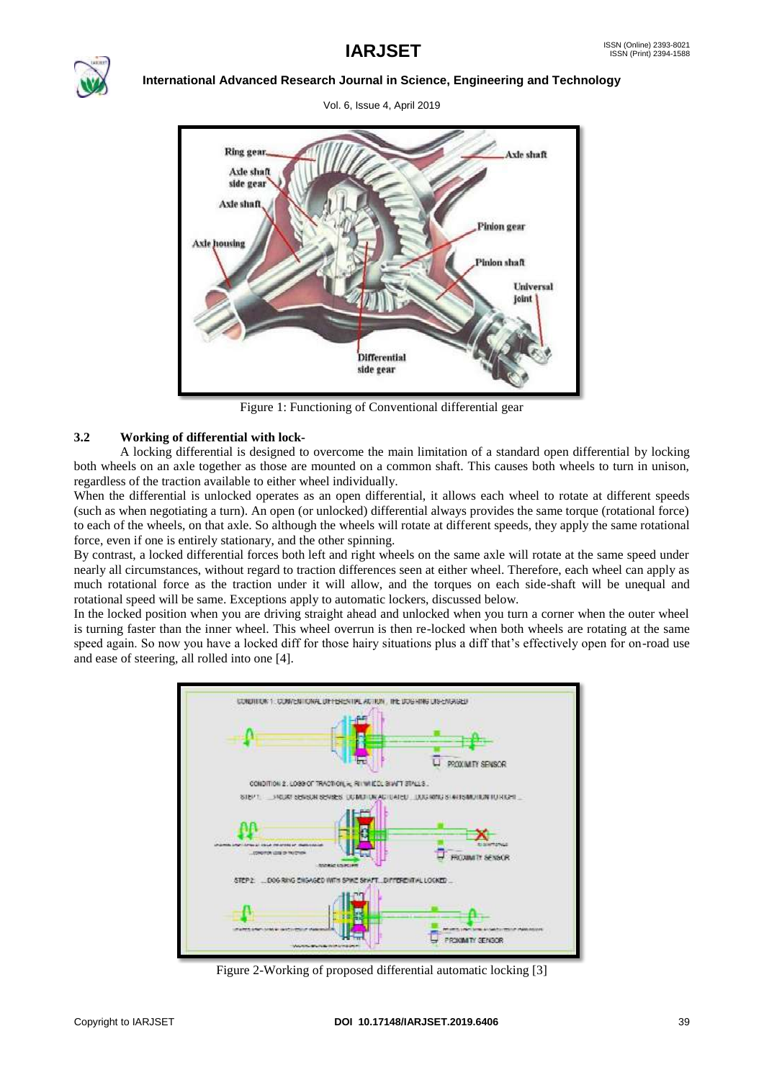

Vol. 6, Issue 4, April 2019



Figure 1: Functioning of Conventional differential gear

### **3.2 Working of differential with lock-**

A locking differential is designed to overcome the main limitation of a standard open differential by locking both wheels on an axle together as those are mounted on a common shaft. This causes both wheels to turn in unison, regardless of the traction available to either wheel individually.

When the differential is unlocked operates as an open differential, it allows each wheel to rotate at different speeds (such as when negotiating a turn). An open (or unlocked) differential always provides the same torque (rotational force) to each of the wheels, on that axle. So although the wheels will rotate at different speeds, they apply the same rotational force, even if one is entirely stationary, and the other spinning.

By contrast, a locked differential forces both left and right wheels on the same axle will rotate at the same speed under nearly all circumstances, without regard to traction differences seen at either wheel. Therefore, each wheel can apply as much rotational force as the traction under it will allow, and the torques on each side-shaft will be unequal and rotational speed will be same. Exceptions apply to automatic lockers, discussed below.

In the locked position when you are driving straight ahead and unlocked when you turn a corner when the outer wheel is turning faster than the inner wheel. This wheel overrun is then re-locked when both wheels are rotating at the same speed again. So now you have a locked diff for those hairy situations plus a diff that's effectively open for on-road use and ease of steering, all rolled into one [4].



Figure 2-Working of proposed differential automatic locking [3]